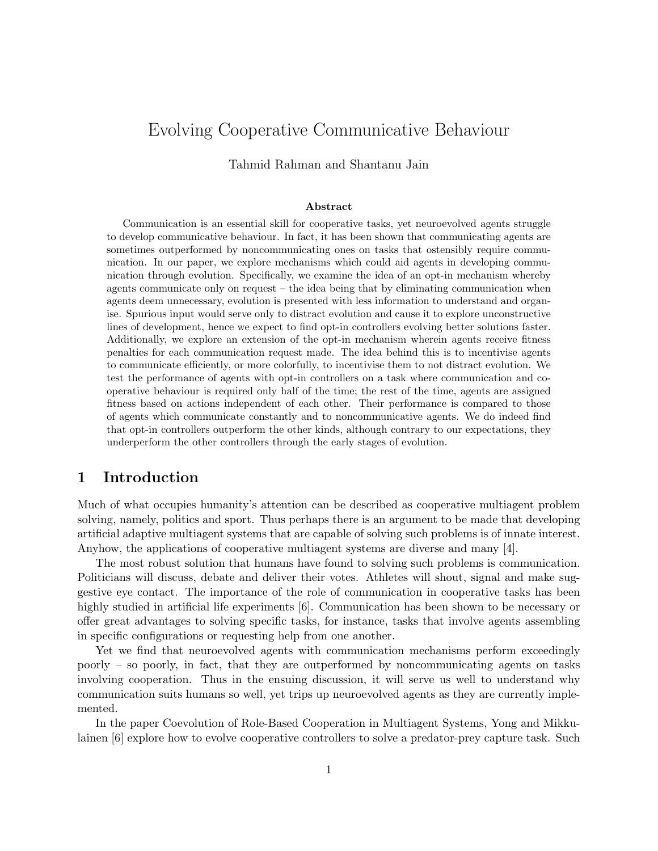# Evolving Cooperative Communicative Behaviour

Tahmid Rahman and Shantanu Jain

#### Abstract

Communication is an essential skill for cooperative tasks, yet neuroevolved agents struggle to develop communicative behaviour. In fact, it has been shown that communicating agents are sometimes outperformed by noncommunicating ones on tasks that ostensibly require communication. In our paper, we explore mechanisms which could aid agents in developing communication through evolution. Specifically, we examine the idea of an opt-in mechanism whereby agents communicate only on request – the idea being that by eliminating communication when agents deem unnecessary, evolution is presented with less information to understand and organise. Spurious input would serve only to distract evolution and cause it to explore unconstructive lines of development, hence we expect to find opt-in controllers evolving better solutions faster. Additionally, we explore an extension of the opt-in mechanism wherein agents receive fitness penalties for each communication request made. The idea behind this is to incentivise agents to communicate efficiently, or more colorfully, to incentivise them to not distract evolution. We test the performance of agents with opt-in controllers on a task where communication and cooperative behaviour is required only half of the time; the rest of the time, agents are assigned fitness based on actions independent of each other. Their performance is compared to those of agents which communicate constantly and to noncommunicative agents. We do indeed find that opt-in controllers outperform the other kinds, although contrary to our expectations, they underperform the other controllers through the early stages of evolution.

# 1 Introduction

Much of what occupies humanity's attention can be described as cooperative multiagent problem solving, namely, politics and sport. Thus perhaps there is an argument to be made that developing artificial adaptive multiagent systems that are capable of solving such problems is of innate interest. Anyhow, the applications of cooperative multiagent systems are diverse and many [4].

The most robust solution that humans have found to solving such problems is communication. Politicians will discuss, debate and deliver their votes. Athletes will shout, signal and make suggestive eye contact. The importance of the role of communication in cooperative tasks has been highly studied in artificial life experiments [6]. Communication has been shown to be necessary or offer great advantages to solving specific tasks, for instance, tasks that involve agents assembling in specific configurations or requesting help from one another.

Yet we find that neuroevolved agents with communication mechanisms perform exceedingly poorly – so poorly, in fact, that they are outperformed by noncommunicating agents on tasks involving cooperation. Thus in the ensuing discussion, it will serve us well to understand why communication suits humans so well, yet trips up neuroevolved agents as they are currently implemented.

In the paper Coevolution of Role-Based Cooperation in Multiagent Systems, Yong and Mikkulainen [6] explore how to evolve cooperative controllers to solve a predator-prey capture task. Such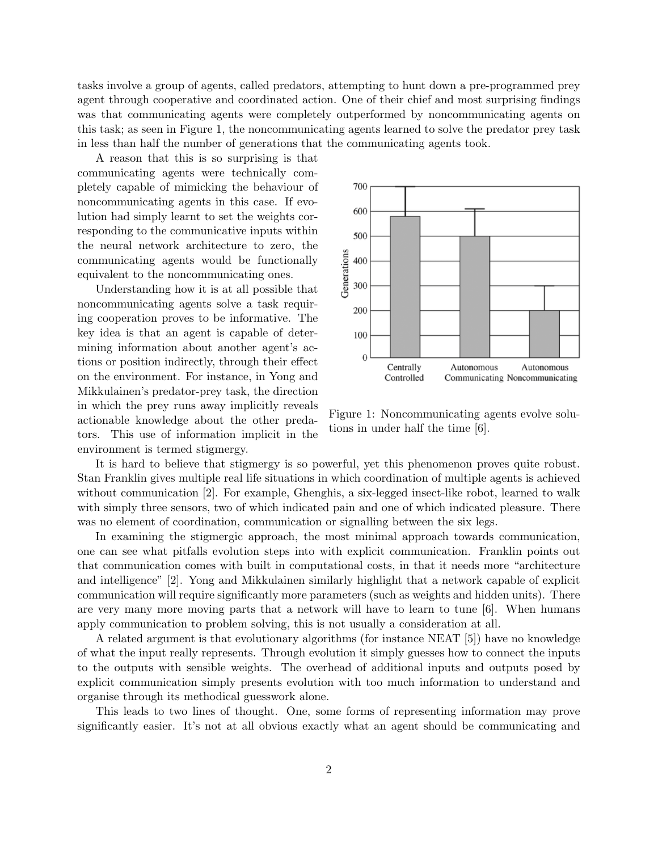tasks involve a group of agents, called predators, attempting to hunt down a pre-programmed prey agent through cooperative and coordinated action. One of their chief and most surprising findings was that communicating agents were completely outperformed by noncommunicating agents on this task; as seen in Figure 1, the noncommunicating agents learned to solve the predator prey task in less than half the number of generations that the communicating agents took.

A reason that this is so surprising is that communicating agents were technically completely capable of mimicking the behaviour of noncommunicating agents in this case. If evolution had simply learnt to set the weights corresponding to the communicative inputs within the neural network architecture to zero, the communicating agents would be functionally equivalent to the noncommunicating ones.

Understanding how it is at all possible that noncommunicating agents solve a task requiring cooperation proves to be informative. The key idea is that an agent is capable of determining information about another agent's actions or position indirectly, through their effect on the environment. For instance, in Yong and Mikkulainen's predator-prey task, the direction in which the prey runs away implicitly reveals actionable knowledge about the other predators. This use of information implicit in the environment is termed stigmergy.



Figure 1: Noncommunicating agents evolve solutions in under half the time [6].

It is hard to believe that stigmergy is so powerful, yet this phenomenon proves quite robust. Stan Franklin gives multiple real life situations in which coordination of multiple agents is achieved without communication [2]. For example, Ghenghis, a six-legged insect-like robot, learned to walk with simply three sensors, two of which indicated pain and one of which indicated pleasure. There was no element of coordination, communication or signalling between the six legs.

In examining the stigmergic approach, the most minimal approach towards communication, one can see what pitfalls evolution steps into with explicit communication. Franklin points out that communication comes with built in computational costs, in that it needs more "architecture and intelligence" [2]. Yong and Mikkulainen similarly highlight that a network capable of explicit communication will require significantly more parameters (such as weights and hidden units). There are very many more moving parts that a network will have to learn to tune [6]. When humans apply communication to problem solving, this is not usually a consideration at all.

A related argument is that evolutionary algorithms (for instance NEAT [5]) have no knowledge of what the input really represents. Through evolution it simply guesses how to connect the inputs to the outputs with sensible weights. The overhead of additional inputs and outputs posed by explicit communication simply presents evolution with too much information to understand and organise through its methodical guesswork alone.

This leads to two lines of thought. One, some forms of representing information may prove significantly easier. It's not at all obvious exactly what an agent should be communicating and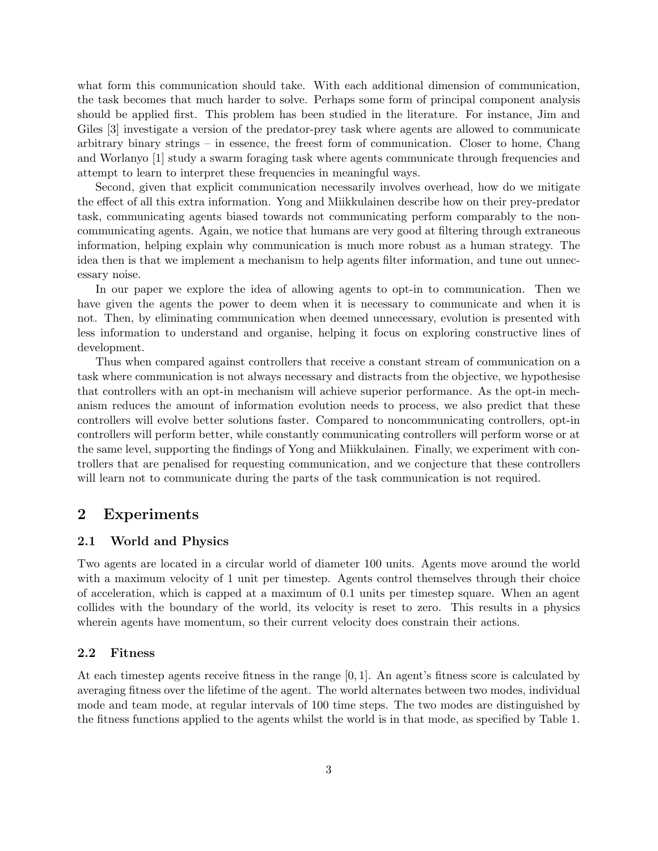what form this communication should take. With each additional dimension of communication, the task becomes that much harder to solve. Perhaps some form of principal component analysis should be applied first. This problem has been studied in the literature. For instance, Jim and Giles [3] investigate a version of the predator-prey task where agents are allowed to communicate arbitrary binary strings – in essence, the freest form of communication. Closer to home, Chang and Worlanyo [1] study a swarm foraging task where agents communicate through frequencies and attempt to learn to interpret these frequencies in meaningful ways.

Second, given that explicit communication necessarily involves overhead, how do we mitigate the effect of all this extra information. Yong and Miikkulainen describe how on their prey-predator task, communicating agents biased towards not communicating perform comparably to the noncommunicating agents. Again, we notice that humans are very good at filtering through extraneous information, helping explain why communication is much more robust as a human strategy. The idea then is that we implement a mechanism to help agents filter information, and tune out unnecessary noise.

In our paper we explore the idea of allowing agents to opt-in to communication. Then we have given the agents the power to deem when it is necessary to communicate and when it is not. Then, by eliminating communication when deemed unnecessary, evolution is presented with less information to understand and organise, helping it focus on exploring constructive lines of development.

Thus when compared against controllers that receive a constant stream of communication on a task where communication is not always necessary and distracts from the objective, we hypothesise that controllers with an opt-in mechanism will achieve superior performance. As the opt-in mechanism reduces the amount of information evolution needs to process, we also predict that these controllers will evolve better solutions faster. Compared to noncommunicating controllers, opt-in controllers will perform better, while constantly communicating controllers will perform worse or at the same level, supporting the findings of Yong and Miikkulainen. Finally, we experiment with controllers that are penalised for requesting communication, and we conjecture that these controllers will learn not to communicate during the parts of the task communication is not required.

### 2 Experiments

#### 2.1 World and Physics

Two agents are located in a circular world of diameter 100 units. Agents move around the world with a maximum velocity of 1 unit per timestep. Agents control themselves through their choice of acceleration, which is capped at a maximum of 0.1 units per timestep square. When an agent collides with the boundary of the world, its velocity is reset to zero. This results in a physics wherein agents have momentum, so their current velocity does constrain their actions.

### 2.2 Fitness

At each timestep agents receive fitness in the range [0, 1]. An agent's fitness score is calculated by averaging fitness over the lifetime of the agent. The world alternates between two modes, individual mode and team mode, at regular intervals of 100 time steps. The two modes are distinguished by the fitness functions applied to the agents whilst the world is in that mode, as specified by Table 1.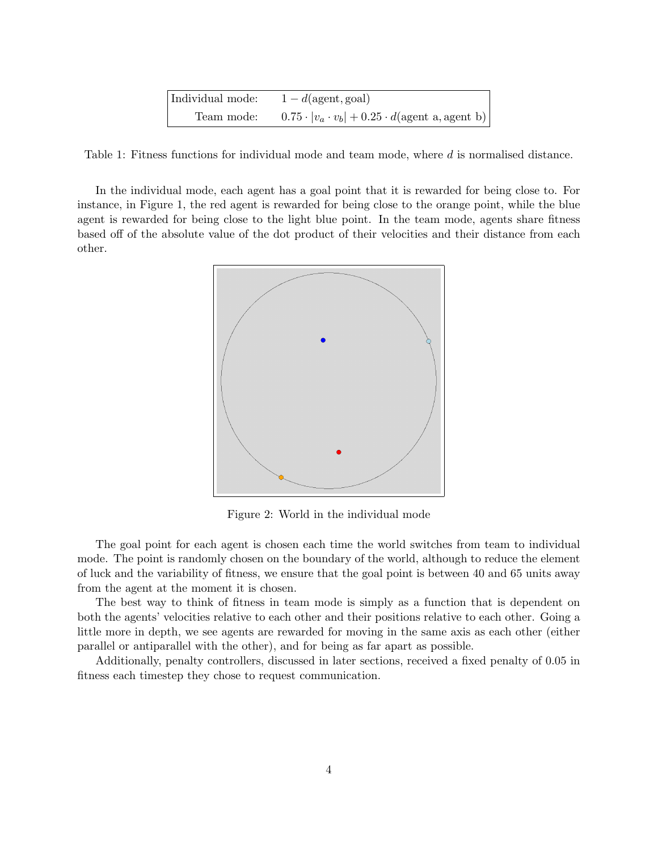| Individual mode: | $1-d$ (agent, goal)                                                         |
|------------------|-----------------------------------------------------------------------------|
| Team mode:       | $0.75 \cdot  v_a \cdot v_b  + 0.25 \cdot d(\text{agent a}, \text{agent b})$ |

Table 1: Fitness functions for individual mode and team mode, where d is normalised distance.

In the individual mode, each agent has a goal point that it is rewarded for being close to. For instance, in Figure 1, the red agent is rewarded for being close to the orange point, while the blue agent is rewarded for being close to the light blue point. In the team mode, agents share fitness based off of the absolute value of the dot product of their velocities and their distance from each other.



Figure 2: World in the individual mode

The goal point for each agent is chosen each time the world switches from team to individual mode. The point is randomly chosen on the boundary of the world, although to reduce the element of luck and the variability of fitness, we ensure that the goal point is between 40 and 65 units away from the agent at the moment it is chosen.

The best way to think of fitness in team mode is simply as a function that is dependent on both the agents' velocities relative to each other and their positions relative to each other. Going a little more in depth, we see agents are rewarded for moving in the same axis as each other (either parallel or antiparallel with the other), and for being as far apart as possible.

Additionally, penalty controllers, discussed in later sections, received a fixed penalty of 0.05 in fitness each timestep they chose to request communication.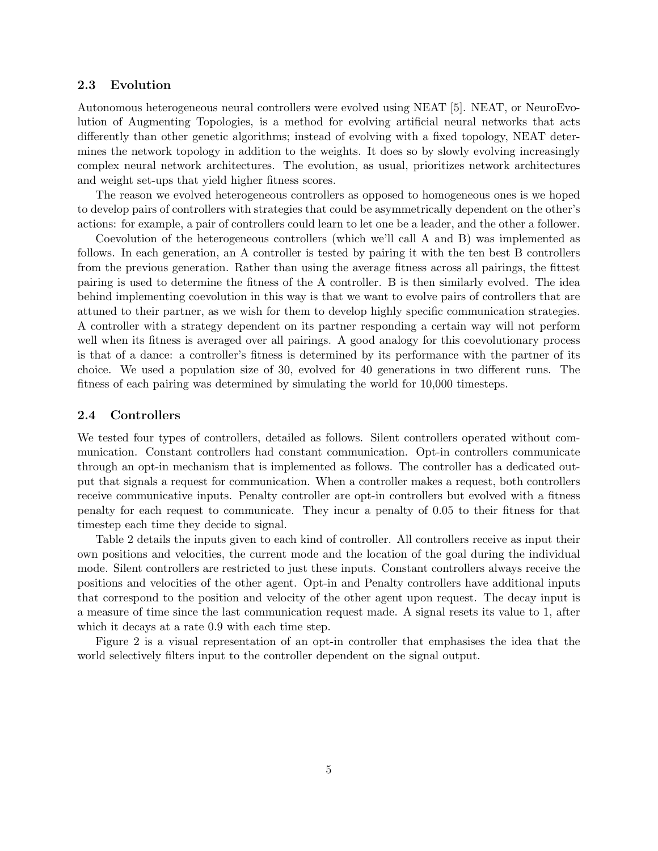#### 2.3 Evolution

Autonomous heterogeneous neural controllers were evolved using NEAT [5]. NEAT, or NeuroEvolution of Augmenting Topologies, is a method for evolving artificial neural networks that acts differently than other genetic algorithms; instead of evolving with a fixed topology, NEAT determines the network topology in addition to the weights. It does so by slowly evolving increasingly complex neural network architectures. The evolution, as usual, prioritizes network architectures and weight set-ups that yield higher fitness scores.

The reason we evolved heterogeneous controllers as opposed to homogeneous ones is we hoped to develop pairs of controllers with strategies that could be asymmetrically dependent on the other's actions: for example, a pair of controllers could learn to let one be a leader, and the other a follower.

Coevolution of the heterogeneous controllers (which we'll call A and B) was implemented as follows. In each generation, an A controller is tested by pairing it with the ten best B controllers from the previous generation. Rather than using the average fitness across all pairings, the fittest pairing is used to determine the fitness of the A controller. B is then similarly evolved. The idea behind implementing coevolution in this way is that we want to evolve pairs of controllers that are attuned to their partner, as we wish for them to develop highly specific communication strategies. A controller with a strategy dependent on its partner responding a certain way will not perform well when its fitness is averaged over all pairings. A good analogy for this coevolutionary process is that of a dance: a controller's fitness is determined by its performance with the partner of its choice. We used a population size of 30, evolved for 40 generations in two different runs. The fitness of each pairing was determined by simulating the world for 10,000 timesteps.

#### 2.4 Controllers

We tested four types of controllers, detailed as follows. Silent controllers operated without communication. Constant controllers had constant communication. Opt-in controllers communicate through an opt-in mechanism that is implemented as follows. The controller has a dedicated output that signals a request for communication. When a controller makes a request, both controllers receive communicative inputs. Penalty controller are opt-in controllers but evolved with a fitness penalty for each request to communicate. They incur a penalty of 0.05 to their fitness for that timestep each time they decide to signal.

Table 2 details the inputs given to each kind of controller. All controllers receive as input their own positions and velocities, the current mode and the location of the goal during the individual mode. Silent controllers are restricted to just these inputs. Constant controllers always receive the positions and velocities of the other agent. Opt-in and Penalty controllers have additional inputs that correspond to the position and velocity of the other agent upon request. The decay input is a measure of time since the last communication request made. A signal resets its value to 1, after which it decays at a rate 0.9 with each time step.

Figure 2 is a visual representation of an opt-in controller that emphasises the idea that the world selectively filters input to the controller dependent on the signal output.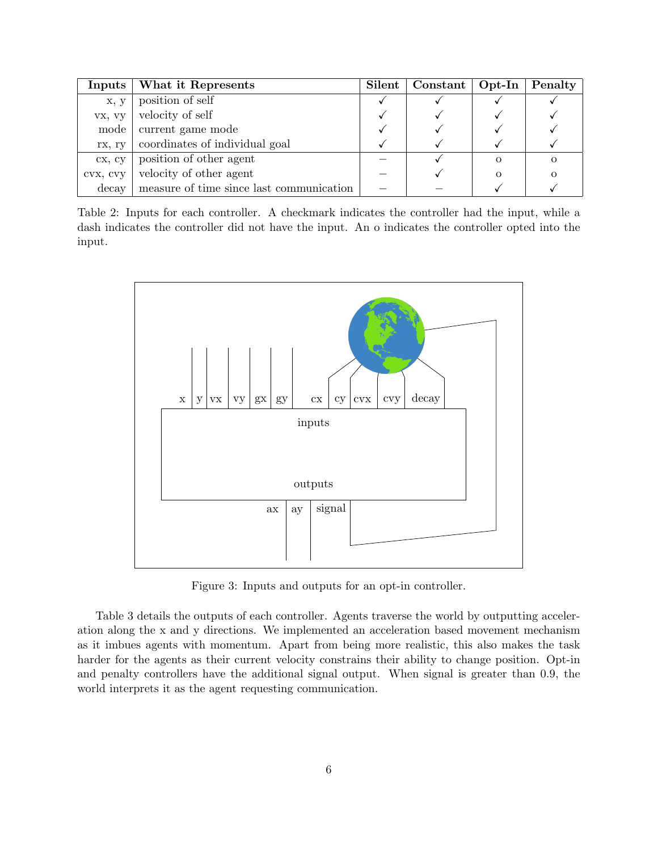| Inputs   | What it Represents                               | <b>Silent</b> | $\vert$ Constant $\vert$ Opt-In $\vert$ Penalty |  |
|----------|--------------------------------------------------|---------------|-------------------------------------------------|--|
| x, y     | position of self                                 |               |                                                 |  |
| vx, vy   | velocity of self                                 |               |                                                 |  |
| mode     | current game mode                                |               |                                                 |  |
| rx, ry   | coordinates of individual goal                   |               |                                                 |  |
| CX, CV   | position of other agent                          |               |                                                 |  |
| CVX, CVY | velocity of other agent                          |               |                                                 |  |
|          | decay   measure of time since last communication |               |                                                 |  |

Table 2: Inputs for each controller. A checkmark indicates the controller had the input, while a dash indicates the controller did not have the input. An o indicates the controller opted into the input.



Figure 3: Inputs and outputs for an opt-in controller.

Table 3 details the outputs of each controller. Agents traverse the world by outputting acceleration along the x and y directions. We implemented an acceleration based movement mechanism as it imbues agents with momentum. Apart from being more realistic, this also makes the task harder for the agents as their current velocity constrains their ability to change position. Opt-in and penalty controllers have the additional signal output. When signal is greater than 0.9, the world interprets it as the agent requesting communication.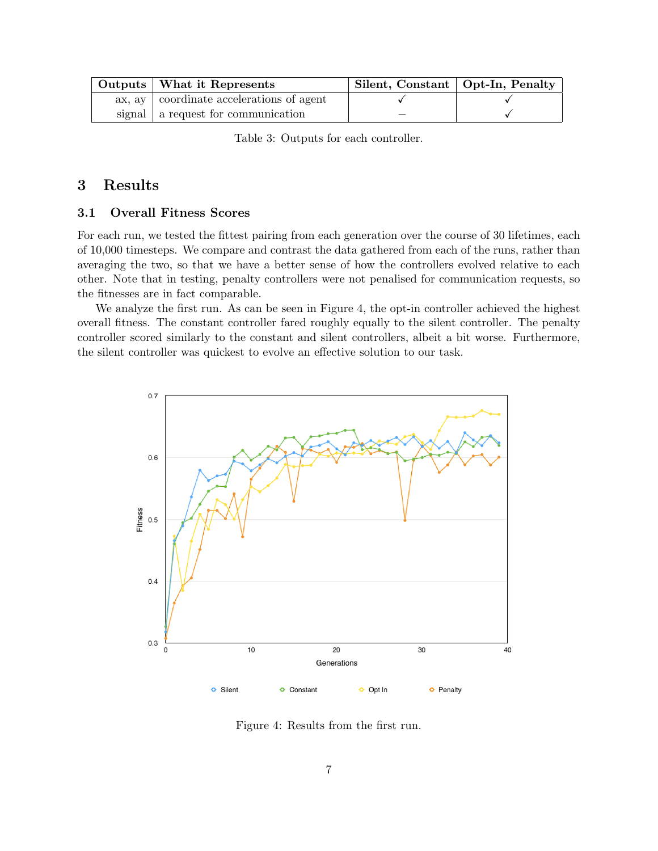| Outputs   What it Represents               | Silent, Constant   Opt-In, Penalty |  |
|--------------------------------------------|------------------------------------|--|
| ax, ay   coordinate accelerations of agent |                                    |  |
| signal   a request for communication       |                                    |  |

Table 3: Outputs for each controller.

# 3 Results

### 3.1 Overall Fitness Scores

For each run, we tested the fittest pairing from each generation over the course of 30 lifetimes, each of 10,000 timesteps. We compare and contrast the data gathered from each of the runs, rather than averaging the two, so that we have a better sense of how the controllers evolved relative to each other. Note that in testing, penalty controllers were not penalised for communication requests, so the fitnesses are in fact comparable.

We analyze the first run. As can be seen in Figure 4, the opt-in controller achieved the highest overall fitness. The constant controller fared roughly equally to the silent controller. The penalty controller scored similarly to the constant and silent controllers, albeit a bit worse. Furthermore, the silent controller was quickest to evolve an effective solution to our task.



Figure 4: Results from the first run.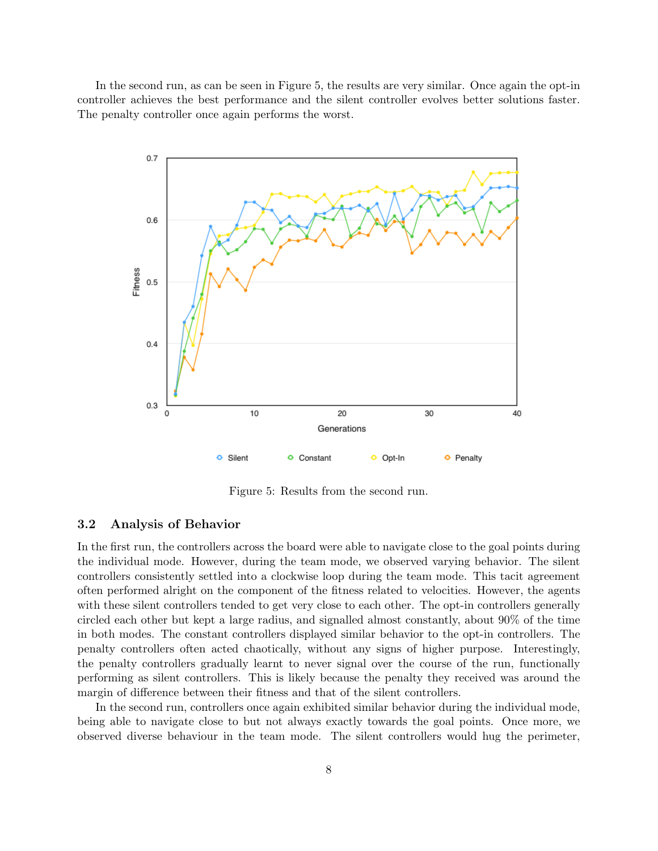In the second run, as can be seen in Figure 5, the results are very similar. Once again the opt-in controller achieves the best performance and the silent controller evolves better solutions faster. The penalty controller once again performs the worst.



Figure 5: Results from the second run.

#### 3.2 Analysis of Behavior

In the first run, the controllers across the board were able to navigate close to the goal points during the individual mode. However, during the team mode, we observed varying behavior. The silent controllers consistently settled into a clockwise loop during the team mode. This tacit agreement often performed alright on the component of the fitness related to velocities. However, the agents with these silent controllers tended to get very close to each other. The opt-in controllers generally circled each other but kept a large radius, and signalled almost constantly, about 90% of the time in both modes. The constant controllers displayed similar behavior to the opt-in controllers. The penalty controllers often acted chaotically, without any signs of higher purpose. Interestingly, the penalty controllers gradually learnt to never signal over the course of the run, functionally performing as silent controllers. This is likely because the penalty they received was around the margin of difference between their fitness and that of the silent controllers.

In the second run, controllers once again exhibited similar behavior during the individual mode, being able to navigate close to but not always exactly towards the goal points. Once more, we observed diverse behaviour in the team mode. The silent controllers would hug the perimeter,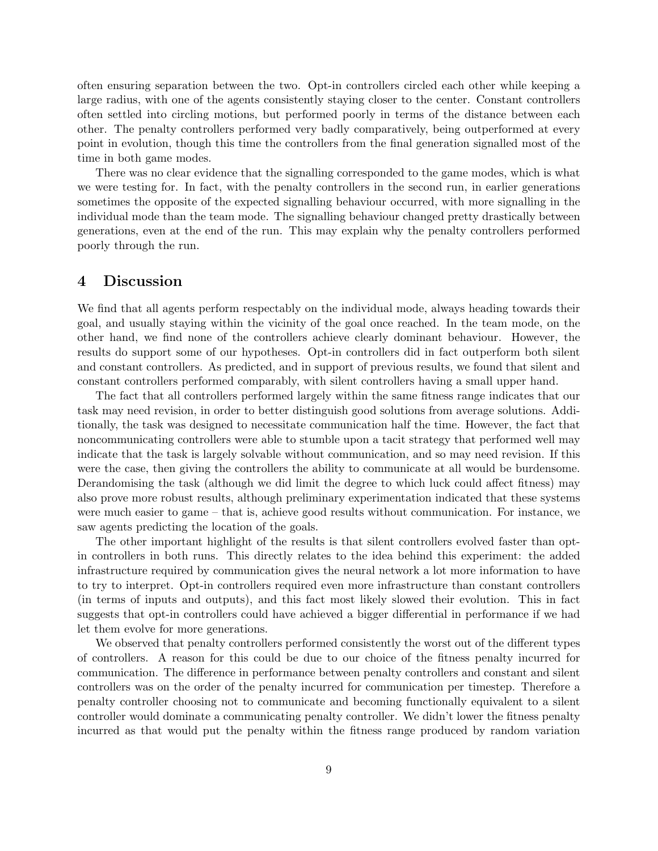often ensuring separation between the two. Opt-in controllers circled each other while keeping a large radius, with one of the agents consistently staying closer to the center. Constant controllers often settled into circling motions, but performed poorly in terms of the distance between each other. The penalty controllers performed very badly comparatively, being outperformed at every point in evolution, though this time the controllers from the final generation signalled most of the time in both game modes.

There was no clear evidence that the signalling corresponded to the game modes, which is what we were testing for. In fact, with the penalty controllers in the second run, in earlier generations sometimes the opposite of the expected signalling behaviour occurred, with more signalling in the individual mode than the team mode. The signalling behaviour changed pretty drastically between generations, even at the end of the run. This may explain why the penalty controllers performed poorly through the run.

### 4 Discussion

We find that all agents perform respectably on the individual mode, always heading towards their goal, and usually staying within the vicinity of the goal once reached. In the team mode, on the other hand, we find none of the controllers achieve clearly dominant behaviour. However, the results do support some of our hypotheses. Opt-in controllers did in fact outperform both silent and constant controllers. As predicted, and in support of previous results, we found that silent and constant controllers performed comparably, with silent controllers having a small upper hand.

The fact that all controllers performed largely within the same fitness range indicates that our task may need revision, in order to better distinguish good solutions from average solutions. Additionally, the task was designed to necessitate communication half the time. However, the fact that noncommunicating controllers were able to stumble upon a tacit strategy that performed well may indicate that the task is largely solvable without communication, and so may need revision. If this were the case, then giving the controllers the ability to communicate at all would be burdensome. Derandomising the task (although we did limit the degree to which luck could affect fitness) may also prove more robust results, although preliminary experimentation indicated that these systems were much easier to game – that is, achieve good results without communication. For instance, we saw agents predicting the location of the goals.

The other important highlight of the results is that silent controllers evolved faster than optin controllers in both runs. This directly relates to the idea behind this experiment: the added infrastructure required by communication gives the neural network a lot more information to have to try to interpret. Opt-in controllers required even more infrastructure than constant controllers (in terms of inputs and outputs), and this fact most likely slowed their evolution. This in fact suggests that opt-in controllers could have achieved a bigger differential in performance if we had let them evolve for more generations.

We observed that penalty controllers performed consistently the worst out of the different types of controllers. A reason for this could be due to our choice of the fitness penalty incurred for communication. The difference in performance between penalty controllers and constant and silent controllers was on the order of the penalty incurred for communication per timestep. Therefore a penalty controller choosing not to communicate and becoming functionally equivalent to a silent controller would dominate a communicating penalty controller. We didn't lower the fitness penalty incurred as that would put the penalty within the fitness range produced by random variation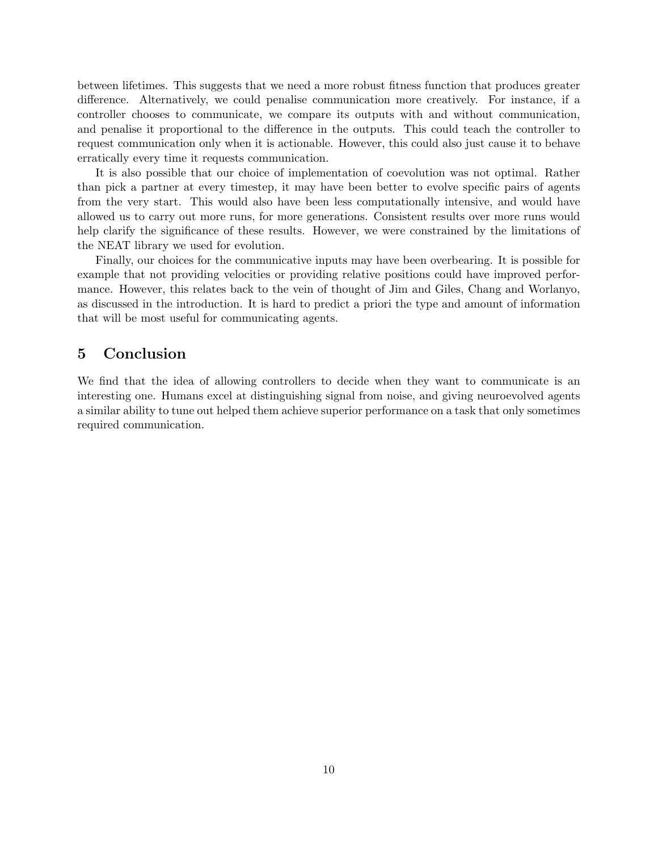between lifetimes. This suggests that we need a more robust fitness function that produces greater difference. Alternatively, we could penalise communication more creatively. For instance, if a controller chooses to communicate, we compare its outputs with and without communication, and penalise it proportional to the difference in the outputs. This could teach the controller to request communication only when it is actionable. However, this could also just cause it to behave erratically every time it requests communication.

It is also possible that our choice of implementation of coevolution was not optimal. Rather than pick a partner at every timestep, it may have been better to evolve specific pairs of agents from the very start. This would also have been less computationally intensive, and would have allowed us to carry out more runs, for more generations. Consistent results over more runs would help clarify the significance of these results. However, we were constrained by the limitations of the NEAT library we used for evolution.

Finally, our choices for the communicative inputs may have been overbearing. It is possible for example that not providing velocities or providing relative positions could have improved performance. However, this relates back to the vein of thought of Jim and Giles, Chang and Worlanyo, as discussed in the introduction. It is hard to predict a priori the type and amount of information that will be most useful for communicating agents.

# 5 Conclusion

We find that the idea of allowing controllers to decide when they want to communicate is an interesting one. Humans excel at distinguishing signal from noise, and giving neuroevolved agents a similar ability to tune out helped them achieve superior performance on a task that only sometimes required communication.